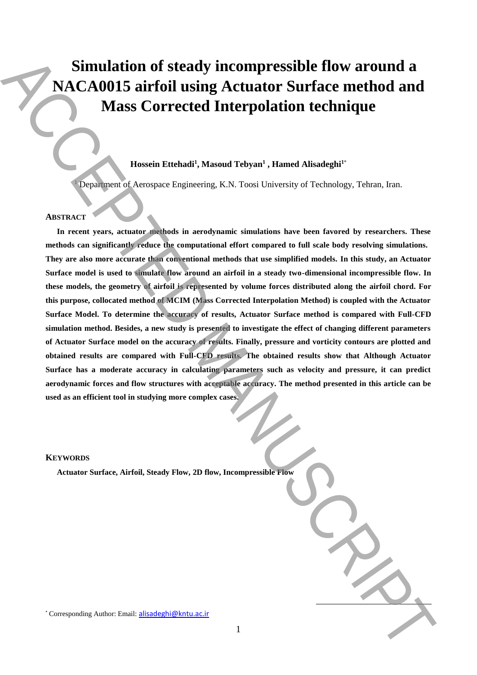# **Simulation of steady incompressible flow around a NACA0015 airfoil using Actuator Surface method and Mass Corrected Interpolation technique**

## **Hossein Ettehadi<sup>1</sup> , Masoud Tebyan<sup>1</sup> , Hamed Alisadeghi<sup>1</sup>**\*

<sup>1</sup> Department of Aerospace Engineering, K.N. Toosi University of Technology, Tehran, Iran.

## **ABSTRACT**

**In recent years, actuator methods in aerodynamic simulations have been favored by researchers. These methods can significantly reduce the computational effort compared to full scale body resolving simulations. They are also more accurate than conventional methods that use simplified models. In this study, an Actuator Surface model is used to simulate flow around an airfoil in a steady two-dimensional incompressible flow. In these models, the geometry of airfoil is represented by volume forces distributed along the airfoil chord. For this purpose, collocated method of MCIM (Mass Corrected Interpolation Method) is coupled with the Actuator Surface Model. To determine the accuracy of results, Actuator Surface method is compared with Full-CFD simulation method. Besides, a new study is presented to investigate the effect of changing different parameters of Actuator Surface model on the accuracy of results. Finally, pressure and vorticity contours are plotted and obtained results are compared with Full-CFD results. The obtained results show that Although Actuator Surface has a moderate accuracy in calculating parameters such as velocity and pressure, it can predict aerodynamic forces and flow structures with acceptable accuracy. The method presented in this article can be used as an efficient tool in studying more complex cases.** Simulation of steady incompressible flow around a<br>
MASS Corrected Interpolation technique<br>
Mass Corrected Interpolation technique<br>
Invariant Ethnic<sup>1</sup>: Manual Telyan<sup>2</sup>: Lineal Alisadeph<sup>ic</sup><br>
ABERACE **Author:** Accepted Ma

#### **KEYWORDS**

**Actuator Surface, Airfoil, Steady Flow, 2D flow, Incompressible Flow**

 $\overline{a}$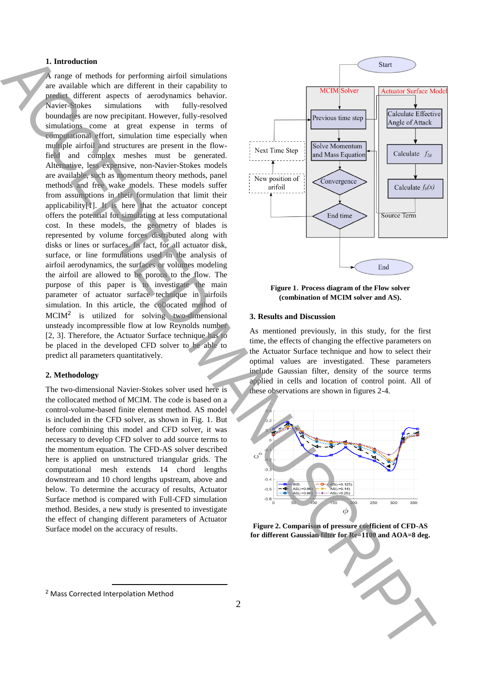### **1. Introduction**

A range of methods for performing airfoil simulations are available which are different in their capability to predict different aspects of aerodynamics behavior. Navier-Stokes simulations with fully-resolved boundaries are now precipitant. However, fully-resolved simulations come at great expense in terms of computational effort, simulation time especially when multiple airfoil and structures are present in the flowfield and complex meshes must be generated. Alternative, less expensive, non-Navier-Stokes models are available, such as momentum theory methods, panel methods and free wake models. These models suffer from assumptions in their formulation that limit their applicability[1]. It is here that the actuator concept offers the potential for simulating at less computational cost. In these models, the geometry of blades is represented by volume forces distributed along with disks or lines or surfaces. In fact, for all actuator disk, surface, or line formulations used in the analysis of airfoil aerodynamics, the surfaces or volumes modeling the airfoil are allowed to be porous to the flow. The purpose of this paper is to investigate the main parameter of actuator surface technique in airfoils simulation. In this article, the collocated method of MCIM<sup>2</sup> is utilized for solving two-dimensional unsteady incompressible flow at low Reynolds number [2, 3]. Therefore, the Actuator Surface technique has to be placed in the developed CFD solver to be able to predict all parameters quantitatively. La function the control of the control of the control of the control of the control of the control of the control of the control of the control of the control of the control of the control of the control of the control of

### **2. Methodology**

The two-dimensional Navier-Stokes solver used here is the collocated method of MCIM. The code is based on a control-volume-based finite element method. AS model is included in the CFD solver, as shown in Fig. 1. But before combining this model and CFD solver, it was necessary to develop CFD solver to add source terms to the momentum equation. The CFD-AS solver described here is applied on unstructured triangular grids. The computational mesh extends 14 chord lengths downstream and 10 chord lengths upstream, above and below. To determine the accuracy of results, Actuator Surface method is compared with Full-CFD simulation method. Besides, a new study is presented to investigate the effect of changing different parameters of Actuator Surface model on the accuracy of results.



**Figure 1**. **Process diagram of the Flow solver (combination of MCIM solver and AS).**

#### **3. Results and Discussion**

As mentioned previously, in this study, for the first time, the effects of changing the effective parameters on the Actuator Surface technique and how to select their optimal values are investigated. These parameters include Gaussian filter, density of the source terms applied in cells and location of control point. All of these observations are shown in figures 2-4.



**Figure 2. Comparison of pressure coefficient of CFD-AS for different Gaussian filter for Re=1100 and AOA=8 deg.**



**<sup>.</sup>** <sup>2</sup> Mass Corrected Interpolation Method